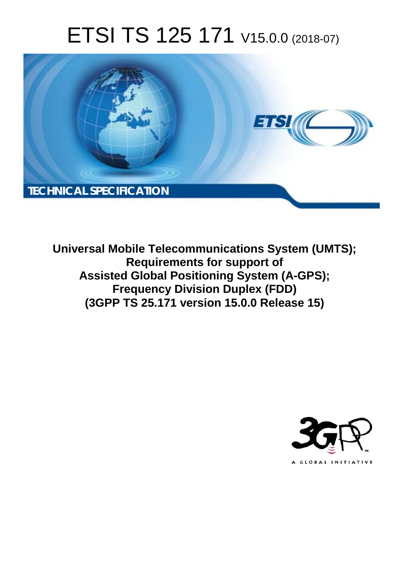# ETSI TS 125 171 V15.0.0 (2018-07)



**Universal Mobile Telecommunications System (UMTS); Requirements for support of Assisted Global Positioning System (A-GPS); Frequency Division Duplex (FDD) (3GPP TS 25.171 version 15.0.0 Release 15)** 

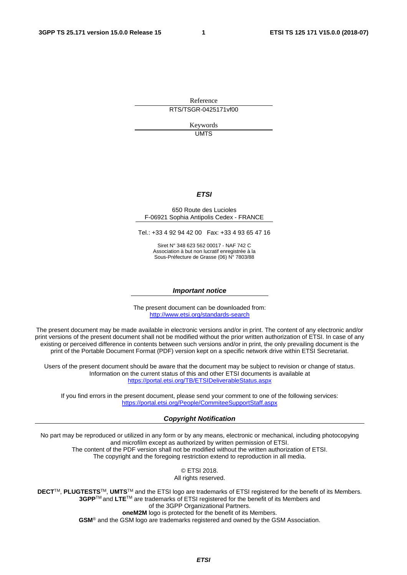Reference

RTS/TSGR-0425171vf00

Keywords UMTS

#### *ETSI*

#### 650 Route des Lucioles F-06921 Sophia Antipolis Cedex - FRANCE

Tel.: +33 4 92 94 42 00 Fax: +33 4 93 65 47 16

Siret N° 348 623 562 00017 - NAF 742 C Association à but non lucratif enregistrée à la Sous-Préfecture de Grasse (06) N° 7803/88

#### *Important notice*

The present document can be downloaded from: <http://www.etsi.org/standards-search>

The present document may be made available in electronic versions and/or in print. The content of any electronic and/or print versions of the present document shall not be modified without the prior written authorization of ETSI. In case of any existing or perceived difference in contents between such versions and/or in print, the only prevailing document is the print of the Portable Document Format (PDF) version kept on a specific network drive within ETSI Secretariat.

Users of the present document should be aware that the document may be subject to revision or change of status. Information on the current status of this and other ETSI documents is available at <https://portal.etsi.org/TB/ETSIDeliverableStatus.aspx>

If you find errors in the present document, please send your comment to one of the following services: <https://portal.etsi.org/People/CommiteeSupportStaff.aspx>

#### *Copyright Notification*

No part may be reproduced or utilized in any form or by any means, electronic or mechanical, including photocopying and microfilm except as authorized by written permission of ETSI. The content of the PDF version shall not be modified without the written authorization of ETSI. The copyright and the foregoing restriction extend to reproduction in all media.

> © ETSI 2018. All rights reserved.

**DECT**TM, **PLUGTESTS**TM, **UMTS**TM and the ETSI logo are trademarks of ETSI registered for the benefit of its Members. **3GPP**TM and **LTE**TM are trademarks of ETSI registered for the benefit of its Members and of the 3GPP Organizational Partners. **oneM2M** logo is protected for the benefit of its Members.

**GSM**® and the GSM logo are trademarks registered and owned by the GSM Association.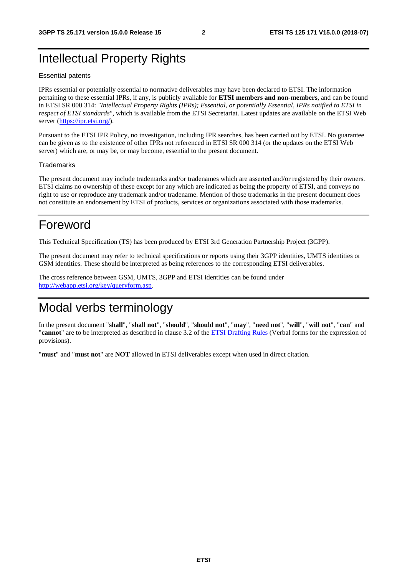### Intellectual Property Rights

#### Essential patents

IPRs essential or potentially essential to normative deliverables may have been declared to ETSI. The information pertaining to these essential IPRs, if any, is publicly available for **ETSI members and non-members**, and can be found in ETSI SR 000 314: *"Intellectual Property Rights (IPRs); Essential, or potentially Essential, IPRs notified to ETSI in respect of ETSI standards"*, which is available from the ETSI Secretariat. Latest updates are available on the ETSI Web server ([https://ipr.etsi.org/\)](https://ipr.etsi.org/).

Pursuant to the ETSI IPR Policy, no investigation, including IPR searches, has been carried out by ETSI. No guarantee can be given as to the existence of other IPRs not referenced in ETSI SR 000 314 (or the updates on the ETSI Web server) which are, or may be, or may become, essential to the present document.

#### **Trademarks**

The present document may include trademarks and/or tradenames which are asserted and/or registered by their owners. ETSI claims no ownership of these except for any which are indicated as being the property of ETSI, and conveys no right to use or reproduce any trademark and/or tradename. Mention of those trademarks in the present document does not constitute an endorsement by ETSI of products, services or organizations associated with those trademarks.

### Foreword

This Technical Specification (TS) has been produced by ETSI 3rd Generation Partnership Project (3GPP).

The present document may refer to technical specifications or reports using their 3GPP identities, UMTS identities or GSM identities. These should be interpreted as being references to the corresponding ETSI deliverables.

The cross reference between GSM, UMTS, 3GPP and ETSI identities can be found under [http://webapp.etsi.org/key/queryform.asp.](http://webapp.etsi.org/key/queryform.asp)

### Modal verbs terminology

In the present document "**shall**", "**shall not**", "**should**", "**should not**", "**may**", "**need not**", "**will**", "**will not**", "**can**" and "**cannot**" are to be interpreted as described in clause 3.2 of the [ETSI Drafting Rules](https://portal.etsi.org/Services/editHelp!/Howtostart/ETSIDraftingRules.aspx) (Verbal forms for the expression of provisions).

"**must**" and "**must not**" are **NOT** allowed in ETSI deliverables except when used in direct citation.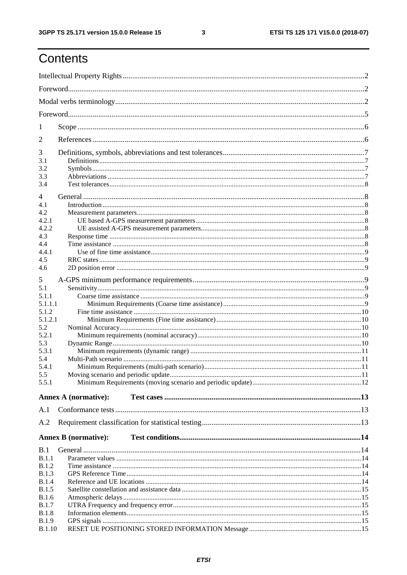ETSI TS 125 171 V15.0.0 (2018-07)

## Contents

| 1              |                             |  |
|----------------|-----------------------------|--|
| 2              |                             |  |
| 3              |                             |  |
| 3.1            |                             |  |
| 3.2            |                             |  |
| 3.3            |                             |  |
| 3.4            |                             |  |
| $\overline{4}$ |                             |  |
| 4.1            |                             |  |
| 4.2            |                             |  |
| 4.2.1          |                             |  |
| 4.2.2          |                             |  |
| 4.3            |                             |  |
| 4.4            |                             |  |
| 4.4.1          |                             |  |
| 4.5            |                             |  |
| 4.6            |                             |  |
|                |                             |  |
| 5              |                             |  |
| 5.1            |                             |  |
| 5.1.1          |                             |  |
| 5.1.1.1        |                             |  |
| 5.1.2          |                             |  |
| 5.1.2.1        |                             |  |
| 5.2            |                             |  |
| 5.2.1          |                             |  |
| 5.3            |                             |  |
| 5.3.1          |                             |  |
| 5.4            |                             |  |
| 5.4.1          |                             |  |
| 5.5            |                             |  |
| 5.5.1          |                             |  |
|                |                             |  |
|                | <b>Annex A (normative):</b> |  |
| A.1            |                             |  |
| A.2            |                             |  |
|                |                             |  |
|                | <b>Annex B</b> (normative): |  |
| B.1            |                             |  |
| B.1.1          |                             |  |
| <b>B.1.2</b>   |                             |  |
| B.1.3          |                             |  |
| B.1.4          |                             |  |
| <b>B.1.5</b>   |                             |  |
| B.1.6          |                             |  |
| <b>B.1.7</b>   |                             |  |
| <b>B.1.8</b>   |                             |  |
| <b>B.1.9</b>   |                             |  |
| <b>B.1.10</b>  |                             |  |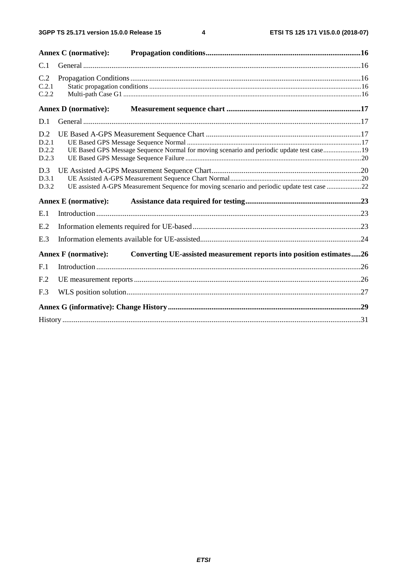$\overline{\mathbf{4}}$ 

|                                | <b>Annex C</b> (normative): |                                                                                             |  |
|--------------------------------|-----------------------------|---------------------------------------------------------------------------------------------|--|
| C.1                            |                             |                                                                                             |  |
| C.2<br>C.2.1<br>C.2.2          |                             |                                                                                             |  |
|                                | <b>Annex D</b> (normative): |                                                                                             |  |
| D.1                            |                             |                                                                                             |  |
| D.2<br>D.2.1<br>D.2.2<br>D.2.3 |                             | UE Based GPS Message Sequence Normal for moving scenario and periodic update test case 19   |  |
| D.3<br>D.3.1<br>D.3.2          |                             | UE assisted A-GPS Measurement Sequence for moving scenario and periodic update test case 22 |  |
|                                | <b>Annex E</b> (normative): |                                                                                             |  |
| E.1                            |                             |                                                                                             |  |
| E.2                            |                             |                                                                                             |  |
| E.3                            |                             |                                                                                             |  |
|                                | <b>Annex F</b> (normative): | Converting UE-assisted measurement reports into position estimates26                        |  |
| F.1                            |                             |                                                                                             |  |
| F <sub>.2</sub>                |                             |                                                                                             |  |
| F.3                            |                             |                                                                                             |  |
|                                |                             |                                                                                             |  |
|                                |                             |                                                                                             |  |
|                                |                             |                                                                                             |  |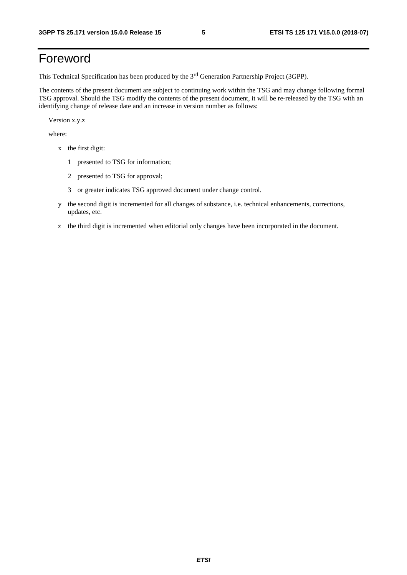## Foreword

This Technical Specification has been produced by the 3rd Generation Partnership Project (3GPP).

The contents of the present document are subject to continuing work within the TSG and may change following formal TSG approval. Should the TSG modify the contents of the present document, it will be re-released by the TSG with an identifying change of release date and an increase in version number as follows:

Version x.y.z

where:

- x the first digit:
	- 1 presented to TSG for information;
	- 2 presented to TSG for approval;
	- 3 or greater indicates TSG approved document under change control.
- y the second digit is incremented for all changes of substance, i.e. technical enhancements, corrections, updates, etc.
- z the third digit is incremented when editorial only changes have been incorporated in the document.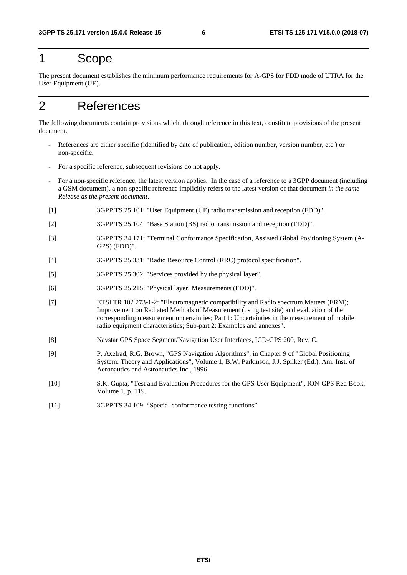### 1 Scope

The present document establishes the minimum performance requirements for A-GPS for FDD mode of UTRA for the User Equipment (UE).

## 2 References

The following documents contain provisions which, through reference in this text, constitute provisions of the present document.

- References are either specific (identified by date of publication, edition number, version number, etc.) or non-specific.
- For a specific reference, subsequent revisions do not apply.
- For a non-specific reference, the latest version applies. In the case of a reference to a 3GPP document (including a GSM document), a non-specific reference implicitly refers to the latest version of that document *in the same Release as the present document*.
- [1] 3GPP TS 25.101: "User Equipment (UE) radio transmission and reception (FDD)".
- [2] 3GPP TS 25.104: "Base Station (BS) radio transmission and reception (FDD)".
- [3] 3GPP TS 34.171: "Terminal Conformance Specification, Assisted Global Positioning System (A-GPS) (FDD)".
- [4] 3GPP TS 25.331: "Radio Resource Control (RRC) protocol specification".
- [5] 3GPP TS 25.302: "Services provided by the physical layer".
- [6] 3GPP TS 25.215: "Physical layer; Measurements (FDD)".
- [7] ETSI TR 102 273-1-2: "Electromagnetic compatibility and Radio spectrum Matters (ERM); Improvement on Radiated Methods of Measurement (using test site) and evaluation of the corresponding measurement uncertainties; Part 1: Uncertainties in the measurement of mobile radio equipment characteristics; Sub-part 2: Examples and annexes".
- [8] Navstar GPS Space Segment/Navigation User Interfaces, ICD-GPS 200, Rev. C.
- [9] P. Axelrad, R.G. Brown, "GPS Navigation Algorithms", in Chapter 9 of "Global Positioning System: Theory and Applications", Volume 1, B.W. Parkinson, J.J. Spilker (Ed.), Am. Inst. of Aeronautics and Astronautics Inc., 1996.
- [10] S.K. Gupta, "Test and Evaluation Procedures for the GPS User Equipment", ION-GPS Red Book, Volume 1, p. 119.
- [11] 3GPP TS 34.109: "Special conformance testing functions"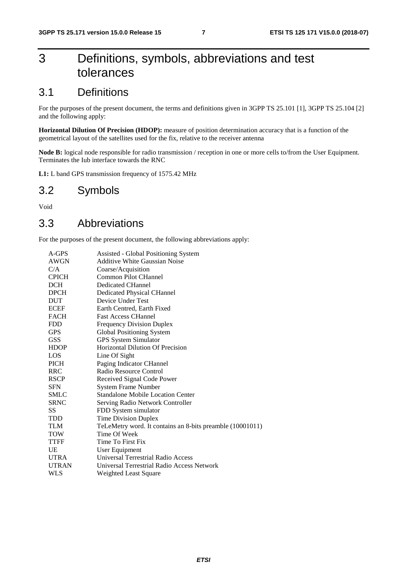## 3 Definitions, symbols, abbreviations and test tolerances

### 3.1 Definitions

For the purposes of the present document, the terms and definitions given in 3GPP TS 25.101 [1], 3GPP TS 25.104 [2] and the following apply:

**Horizontal Dilution Of Precision (HDOP):** measure of position determination accuracy that is a function of the geometrical layout of the satellites used for the fix, relative to the receiver antenna

**Node B:** logical node responsible for radio transmission / reception in one or more cells to/from the User Equipment. Terminates the Iub interface towards the RNC

**L1:** L band GPS transmission frequency of 1575.42 MHz

### 3.2 Symbols

Void

### 3.3 Abbreviations

For the purposes of the present document, the following abbreviations apply:

| A-GPS        | Assisted - Global Positioning System                      |
|--------------|-----------------------------------------------------------|
| AWGN         | <b>Additive White Gaussian Noise</b>                      |
| C/A          | Coarse/Acquisition                                        |
| <b>CPICH</b> | Common Pilot CHannel                                      |
| <b>DCH</b>   | <b>Dedicated CHannel</b>                                  |
| DPCH         | Dedicated Physical CHannel                                |
| DUT          | Device Under Test                                         |
| <b>ECEF</b>  | Earth Centred, Earth Fixed                                |
| FACH         | <b>Fast Access CHannel</b>                                |
| FDD          | <b>Frequency Division Duplex</b>                          |
| <b>GPS</b>   | Global Positioning System                                 |
| <b>GSS</b>   | GPS System Simulator                                      |
| <b>HDOP</b>  | Horizontal Dilution Of Precision                          |
| LOS          | Line Of Sight                                             |
| PICH         | Paging Indicator CHannel                                  |
| RRC          | Radio Resource Control                                    |
| <b>RSCP</b>  | Received Signal Code Power                                |
| <b>SFN</b>   | <b>System Frame Number</b>                                |
| <b>SMLC</b>  | <b>Standalone Mobile Location Center</b>                  |
| <b>SRNC</b>  | Serving Radio Network Controller                          |
| SS           | FDD System simulator                                      |
| TDD          | Time Division Duplex                                      |
| <b>TLM</b>   | TeLeMetry word. It contains an 8-bits preamble (10001011) |
| TOW          | Time Of Week                                              |
| TTFF         | Time To First Fix                                         |
| UE           | User Equipment                                            |
| <b>UTRA</b>  | Universal Terrestrial Radio Access                        |
| <b>UTRAN</b> | Universal Terrestrial Radio Access Network                |
| WLS          | <b>Weighted Least Square</b>                              |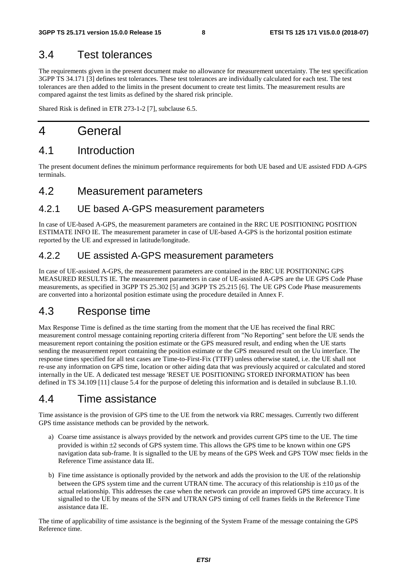### 3.4 Test tolerances

The requirements given in the present document make no allowance for measurement uncertainty. The test specification 3GPP TS 34.171 [3] defines test tolerances. These test tolerances are individually calculated for each test. The test tolerances are then added to the limits in the present document to create test limits. The measurement results are compared against the test limits as defined by the shared risk principle.

Shared Risk is defined in ETR 273-1-2 [7], subclause 6.5.

## 4 General

## 4.1 Introduction

The present document defines the minimum performance requirements for both UE based and UE assisted FDD A-GPS terminals.

### 4.2 Measurement parameters

### 4.2.1 UE based A-GPS measurement parameters

In case of UE-based A-GPS, the measurement parameters are contained in the RRC UE POSITIONING POSITION ESTIMATE INFO IE. The measurement parameter in case of UE-based A-GPS is the horizontal position estimate reported by the UE and expressed in latitude/longitude.

### 4.2.2 UE assisted A-GPS measurement parameters

In case of UE-assisted A-GPS, the measurement parameters are contained in the RRC UE POSITIONING GPS MEASURED RESULTS IE. The measurement parameters in case of UE-assisted A-GPS are the UE GPS Code Phase measurements, as specified in 3GPP TS 25.302 [5] and 3GPP TS 25.215 [6]. The UE GPS Code Phase measurements are converted into a horizontal position estimate using the procedure detailed in Annex F.

### 4.3 Response time

Max Response Time is defined as the time starting from the moment that the UE has received the final RRC measurement control message containing reporting criteria different from "No Reporting" sent before the UE sends the measurement report containing the position estimate or the GPS measured result, and ending when the UE starts sending the measurement report containing the position estimate or the GPS measured result on the Uu interface. The response times specified for all test cases are Time-to-First-Fix (TTFF) unless otherwise stated, i.e. the UE shall not re-use any information on GPS time, location or other aiding data that was previously acquired or calculated and stored internally in the UE. A dedicated test message 'RESET UE POSITIONING STORED INFORMATION' has been defined in TS 34.109 [11] clause 5.4 for the purpose of deleting this information and is detailed in subclause B.1.10.

### 4.4 Time assistance

Time assistance is the provision of GPS time to the UE from the network via RRC messages. Currently two different GPS time assistance methods can be provided by the network.

- a) Coarse time assistance is always provided by the network and provides current GPS time to the UE. The time provided is within ±2 seconds of GPS system time. This allows the GPS time to be known within one GPS navigation data sub-frame. It is signalled to the UE by means of the GPS Week and GPS TOW msec fields in the Reference Time assistance data IE.
- b) Fine time assistance is optionally provided by the network and adds the provision to the UE of the relationship between the GPS system time and the current UTRAN time. The accuracy of this relationship is ±10 μs of the actual relationship. This addresses the case when the network can provide an improved GPS time accuracy. It is signalled to the UE by means of the SFN and UTRAN GPS timing of cell frames fields in the Reference Time assistance data IE.

The time of applicability of time assistance is the beginning of the System Frame of the message containing the GPS Reference time.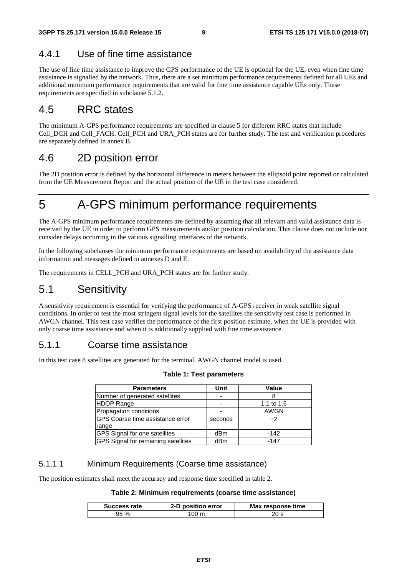### 4.4.1 Use of fine time assistance

The use of fine time assistance to improve the GPS performance of the UE is optional for the UE, even when fine time assistance is signalled by the network. Thus, there are a set minimum performance requirements defined for all UEs and additional minimum performance requirements that are valid for fine time assistance capable UEs only. These requirements are specified in subclause 5.1.2.

### 4.5 RRC states

The minimum A-GPS performance requirements are specified in clause 5 for different RRC states that include Cell\_DCH and Cell\_FACH. Cell\_PCH and URA\_PCH states are for further study. The test and verification procedures are separately defined in annex B.

### 4.6 2D position error

The 2D position error is defined by the horizontal difference in meters between the ellipsoid point reported or calculated from the UE Measurement Report and the actual position of the UE in the test case considered.

## 5 A-GPS minimum performance requirements

The A-GPS minimum performance requirements are defined by assuming that all relevant and valid assistance data is received by the UE in order to perform GPS measurements and/or position calculation. This clause does not include nor consider delays occurring in the various signalling interfaces of the network.

In the following subclauses the minimum performance requirements are based on availability of the assistance data information and messages defined in annexes D and E.

The requirements in CELL\_PCH and URA\_PCH states are for further study.

### 5.1 Sensitivity

A sensitivity requirement is essential for verifying the performance of A-GPS receiver in weak satellite signal conditions. In order to test the most stringent signal levels for the satellites the sensitivity test case is performed in AWGN channel. This test case verifies the performance of the first position estimate, when the UE is provided with only coarse time assistance and when it is additionally supplied with fine time assistance.

#### 5.1.1 Coarse time assistance

In this test case 8 satellites are generated for the terminal. AWGN channel model is used.

| <b>Parameters</b>                          | Unit    | Value      |
|--------------------------------------------|---------|------------|
| Number of generated satellites             |         |            |
| <b>HDOP Range</b>                          |         | 1.1 to 1.6 |
| Propagation conditions                     |         | AWGN       |
| <b>GPS Coarse time assistance error</b>    | seconds | $+2$       |
| range                                      |         |            |
| <b>GPS Signal for one satellites</b>       | dBm     | $-142$     |
| <b>GPS</b> Signal for remaining satellites | dBm     | $-147$     |

#### **Table 1: Test parameters**

#### 5.1.1.1 Minimum Requirements (Coarse time assistance)

The position estimates shall meet the accuracy and response time specified in table 2.

#### **Table 2: Minimum requirements (coarse time assistance)**

| Success rate | 2-D position error | Max response time |
|--------------|--------------------|-------------------|
| ገ5 %         |                    |                   |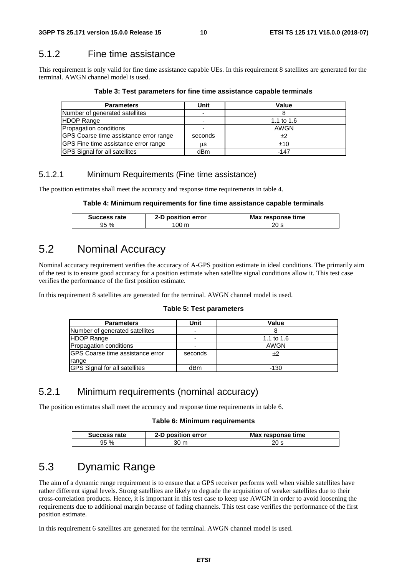### 5.1.2 Fine time assistance

This requirement is only valid for fine time assistance capable UEs. In this requirement 8 satellites are generated for the terminal. AWGN channel model is used.

|  | Table 3: Test parameters for fine time assistance capable terminals |  |
|--|---------------------------------------------------------------------|--|
|--|---------------------------------------------------------------------|--|

| <b>Parameters</b>                      | Unit    | Value        |
|----------------------------------------|---------|--------------|
| Number of generated satellites         |         |              |
| <b>HDOP Range</b>                      | -       | 1.1 to $1.6$ |
| Propagation conditions                 |         | AWGN         |
| GPS Coarse time assistance error range | seconds | $+2$         |
| GPS Fine time assistance error range   | us      | $+10$        |
| GPS Signal for all satellites          | dBm     | -147         |

#### 5.1.2.1 Minimum Requirements (Fine time assistance)

The position estimates shall meet the accuracy and response time requirements in table 4.

#### **Table 4: Minimum requirements for fine time assistance capable terminals**

| Success rate | 2-D position error | Max response time |
|--------------|--------------------|-------------------|
| 95 %         | 00 m               | 20 s              |

### 5.2 Nominal Accuracy

Nominal accuracy requirement verifies the accuracy of A-GPS position estimate in ideal conditions. The primarily aim of the test is to ensure good accuracy for a position estimate when satellite signal conditions allow it. This test case verifies the performance of the first position estimate.

In this requirement 8 satellites are generated for the terminal. AWGN channel model is used.

#### **Table 5: Test parameters**

| <b>Parameters</b>                    | Unit                     | Value        |
|--------------------------------------|--------------------------|--------------|
| Number of generated satellites       | $\overline{\phantom{0}}$ |              |
| <b>HDOP Range</b>                    | -                        | 1.1 to $1.6$ |
| Propagation conditions               |                          | AWGN         |
| IGPS Coarse time assistance error    | seconds                  | $+2$         |
| range                                |                          |              |
| <b>GPS</b> Signal for all satellites | dBm                      | -130         |

### 5.2.1 Minimum requirements (nominal accuracy)

The position estimates shall meet the accuracy and response time requirements in table 6.

#### **Table 6: Minimum requirements**

| Success rate | 2-D position error | Max response time |
|--------------|--------------------|-------------------|
| 95%          | 30 m               | 20 s              |

### 5.3 Dynamic Range

The aim of a dynamic range requirement is to ensure that a GPS receiver performs well when visible satellites have rather different signal levels. Strong satellites are likely to degrade the acquisition of weaker satellites due to their cross-correlation products. Hence, it is important in this test case to keep use AWGN in order to avoid loosening the requirements due to additional margin because of fading channels. This test case verifies the performance of the first position estimate.

In this requirement 6 satellites are generated for the terminal. AWGN channel model is used.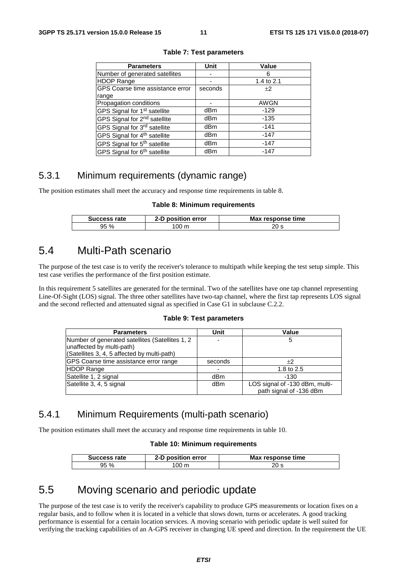| <b>Parameters</b>                        | Unit    | Value       |
|------------------------------------------|---------|-------------|
| Number of generated satellites           |         | 6           |
| <b>HDOP Range</b>                        |         | 1.4 to 2.1  |
| GPS Coarse time assistance error         | seconds | $+2$        |
| range                                    |         |             |
| Propagation conditions                   |         | <b>AWGN</b> |
| GPS Signal for 1 <sup>st</sup> satellite | dBm     | $-129$      |
| GPS Signal for 2 <sup>nd</sup> satellite | dBm     | $-135$      |
| GPS Signal for 3rd satellite             | dBm     | $-141$      |
| GPS Signal for 4 <sup>th</sup> satellite | dBm     | $-147$      |
| GPS Signal for 5 <sup>th</sup> satellite | dBm     | $-147$      |
| GPS Signal for 6 <sup>th</sup> satellite | dBm     | $-147$      |

#### **Table 7: Test parameters**

### 5.3.1 Minimum requirements (dynamic range)

The position estimates shall meet the accuracy and response time requirements in table 8.

#### **Table 8: Minimum requirements**

| Success rate | position error<br>2-D | Max response time |
|--------------|-----------------------|-------------------|
| 95%          | $100 \text{ m}$       | 20 s              |

### 5.4 Multi-Path scenario

The purpose of the test case is to verify the receiver's tolerance to multipath while keeping the test setup simple. This test case verifies the performance of the first position estimate.

In this requirement 5 satellites are generated for the terminal. Two of the satellites have one tap channel representing Line-Of-Sight (LOS) signal. The three other satellites have two-tap channel, where the first tap represents LOS signal and the second reflected and attenuated signal as specified in Case G1 in subclause C.2.2.

**Table 9: Test parameters** 

| <b>Parameters</b>                                                            | Unit    | Value                                                     |
|------------------------------------------------------------------------------|---------|-----------------------------------------------------------|
| Number of generated satellites (Satellites 1, 2<br>unaffected by multi-path) |         |                                                           |
| (Satellites 3, 4, 5 affected by multi-path)                                  |         |                                                           |
| GPS Coarse time assistance error range                                       | seconds | $+2$                                                      |
| <b>HDOP Range</b>                                                            |         | 1.8 to 2.5                                                |
| Satellite 1, 2 signal                                                        | dBm     | -130                                                      |
| Satellite 3, 4, 5 signal                                                     | dBm     | LOS signal of -130 dBm, multi-<br>path signal of -136 dBm |

#### 5.4.1 Minimum Requirements (multi-path scenario)

The position estimates shall meet the accuracy and response time requirements in table 10.

#### **Table 10: Minimum requirements**

| Success rate | 2-D position error | Max response time |
|--------------|--------------------|-------------------|
| 95 %         | 00 <sub>m</sub>    |                   |

### 5.5 Moving scenario and periodic update

The purpose of the test case is to verify the receiver's capability to produce GPS measurements or location fixes on a regular basis, and to follow when it is located in a vehicle that slows down, turns or accelerates. A good tracking performance is essential for a certain location services. A moving scenario with periodic update is well suited for verifying the tracking capabilities of an A-GPS receiver in changing UE speed and direction. In the requirement the UE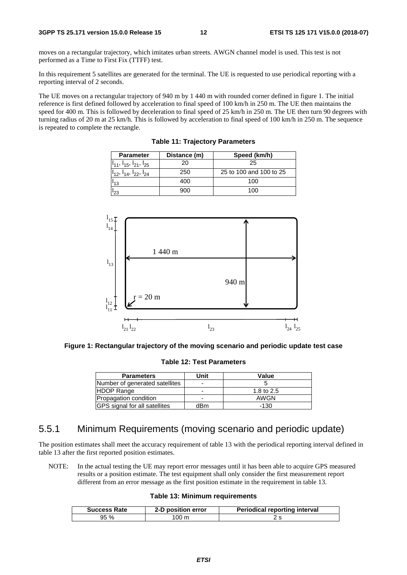moves on a rectangular trajectory, which imitates urban streets. AWGN channel model is used. This test is not performed as a Time to First Fix (TTFF) test.

In this requirement 5 satellites are generated for the terminal. The UE is requested to use periodical reporting with a reporting interval of 2 seconds.

The UE moves on a rectangular trajectory of 940 m by 1 440 m with rounded corner defined in figure 1. The initial reference is first defined followed by acceleration to final speed of 100 km/h in 250 m. The UE then maintains the speed for 400 m. This is followed by deceleration to final speed of 25 km/h in 250 m. The UE then turn 90 degrees with turning radius of 20 m at 25 km/h. This is followed by acceleration to final speed of 100 km/h in 250 m. The sequence is repeated to complete the rectangle.

**Table 11: Trajectory Parameters** 

| <b>Parameter</b>                             | Distance (m) | Speed (km/h)            |  |
|----------------------------------------------|--------------|-------------------------|--|
| $\vert I_{11}, I_{15}, I_{21}, I_{25} \vert$ | 20           | 25                      |  |
| $I_{12}$ , $I_{14}$ , $I_{22}$ , $I_{24}$    | 250          | 25 to 100 and 100 to 25 |  |
| '13                                          | 400          | 100                     |  |
| '23                                          | 900          | 100                     |  |



**Figure 1: Rectangular trajectory of the moving scenario and periodic update test case** 

**Table 12: Test Parameters** 

| <b>Parameters</b>                    | Unit | Value      |
|--------------------------------------|------|------------|
| Number of generated satellites       | -    |            |
| <b>HDOP Range</b>                    | -    | 1.8 to 2.5 |
| Propagation condition                | -    | AWGN       |
| <b>GPS</b> signal for all satellites | dBm  | -130       |

#### 5.5.1 Minimum Requirements (moving scenario and periodic update)

The position estimates shall meet the accuracy requirement of table 13 with the periodical reporting interval defined in table 13 after the first reported position estimates.

NOTE: In the actual testing the UE may report error messages until it has been able to acquire GPS measured results or a position estimate. The test equipment shall only consider the first measurement report different from an error message as the first position estimate in the requirement in table 13.

#### **Table 13: Minimum requirements**

| <b>Success Rate</b> | 2-D position error | <b>Periodical reporting interval</b> |
|---------------------|--------------------|--------------------------------------|
| 95 %                | 00 <sub>m</sub>    |                                      |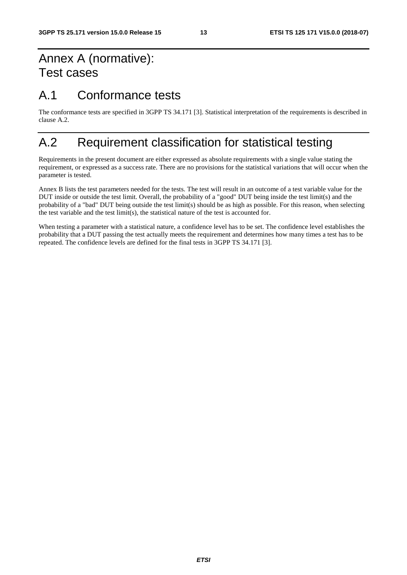## Annex A (normative): Test cases

## A.1 Conformance tests

The conformance tests are specified in 3GPP TS 34.171 [3]. Statistical interpretation of the requirements is described in clause A.2.

## A.2 Requirement classification for statistical testing

Requirements in the present document are either expressed as absolute requirements with a single value stating the requirement, or expressed as a success rate. There are no provisions for the statistical variations that will occur when the parameter is tested.

Annex B lists the test parameters needed for the tests. The test will result in an outcome of a test variable value for the DUT inside or outside the test limit. Overall, the probability of a "good" DUT being inside the test limit(s) and the probability of a "bad" DUT being outside the test limit(s) should be as high as possible. For this reason, when selecting the test variable and the test limit(s), the statistical nature of the test is accounted for.

When testing a parameter with a statistical nature, a confidence level has to be set. The confidence level establishes the probability that a DUT passing the test actually meets the requirement and determines how many times a test has to be repeated. The confidence levels are defined for the final tests in 3GPP TS 34.171 [3].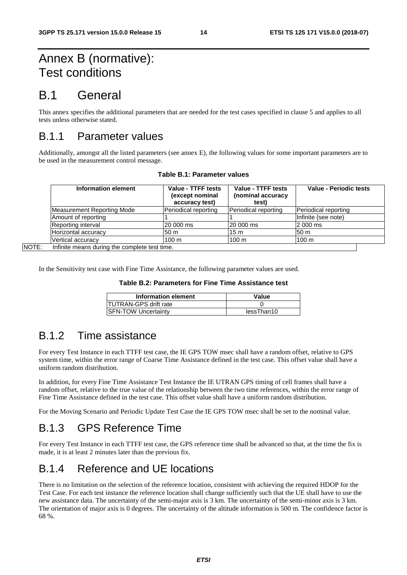## Annex B (normative): Test conditions

## B.1 General

This annex specifies the additional parameters that are needed for the test cases specified in clause 5 and applies to all tests unless otherwise stated.

### B.1.1 Parameter values

Additionally, amongst all the listed parameters (see annex E), the following values for some important parameters are to be used in the measurement control message.

| Information element                          | Value - TTFF tests<br>(except nominal<br>accuracy test) | Value - TTFF tests<br>(nominal accuracy<br>test) | Value - Periodic tests |
|----------------------------------------------|---------------------------------------------------------|--------------------------------------------------|------------------------|
| <b>Measurement Reporting Mode</b>            | Periodical reporting                                    | Periodical reporting                             | Periodical reporting   |
| Amount of reporting                          |                                                         |                                                  | Infinite (see note)    |
| Reporting interval                           | l20 000 ms                                              | 20 000 ms                                        | 2 000 ms               |
| Horizontal accuracy                          | 50 m                                                    | 15 m                                             | 50 m                   |
| Vertical accuracy                            | $100 \text{ m}$                                         | 100 <sub>m</sub>                                 | 100 <sub>m</sub>       |
| Infinite means during the complete test time |                                                         |                                                  |                        |

**Table B.1: Parameter values** 

**NOTE:** 

In the Sensitivity test case with Fine Time Assistance, the following parameter values are used.

#### **Table B.2: Parameters for Fine Time Assistance test**

| Information element           | Value      |
|-------------------------------|------------|
| <b>ITUTRAN-GPS drift rate</b> |            |
| <b>ISFN-TOW Uncertainty</b>   | lessThan10 |

### B.1.2 Time assistance

For every Test Instance in each TTFF test case, the IE GPS TOW msec shall have a random offset, relative to GPS system time, within the error range of Coarse Time Assistance defined in the test case. This offset value shall have a uniform random distribution.

In addition, for every Fine Time Assistance Test Instance the IE UTRAN GPS timing of cell frames shall have a random offset, relative to the true value of the relationship between the two time references, within the error range of Fine Time Assistance defined in the test case. This offset value shall have a uniform random distribution.

For the Moving Scenario and Periodic Update Test Case the IE GPS TOW msec shall be set to the nominal value.

### B.1.3 GPS Reference Time

For every Test Instance in each TTFF test case, the GPS reference time shall be advanced so that, at the time the fix is made, it is at least 2 minutes later than the previous fix.

### B.1.4 Reference and UE locations

There is no limitation on the selection of the reference location, consistent with achieving the required HDOP for the Test Case. For each test instance the reference location shall change sufficiently such that the UE shall have to use the new assistance data. The uncertainty of the semi-major axis is 3 km. The uncertainty of the semi-minor axis is 3 km. The orientation of major axis is 0 degrees. The uncertainty of the altitude information is 500 m. The confidence factor is 68 %.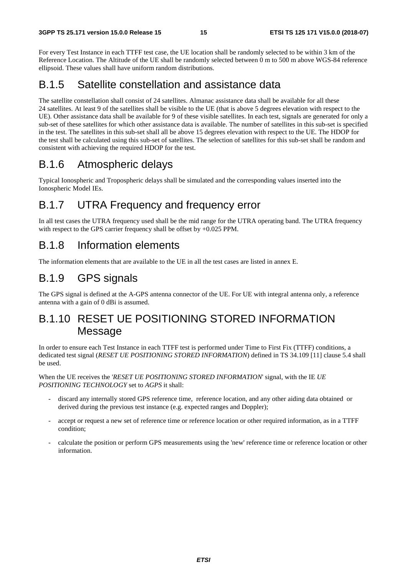For every Test Instance in each TTFF test case, the UE location shall be randomly selected to be within 3 km of the Reference Location. The Altitude of the UE shall be randomly selected between 0 m to 500 m above WGS-84 reference ellipsoid. These values shall have uniform random distributions.

### B.1.5 Satellite constellation and assistance data

The satellite constellation shall consist of 24 satellites. Almanac assistance data shall be available for all these 24 satellites. At least 9 of the satellites shall be visible to the UE (that is above 5 degrees elevation with respect to the UE). Other assistance data shall be available for 9 of these visible satellites. In each test, signals are generated for only a sub-set of these satellites for which other assistance data is available. The number of satellites in this sub-set is specified in the test. The satellites in this sub-set shall all be above 15 degrees elevation with respect to the UE. The HDOP for the test shall be calculated using this sub-set of satellites. The selection of satellites for this sub-set shall be random and consistent with achieving the required HDOP for the test.

### B.1.6 Atmospheric delays

Typical Ionospheric and Tropospheric delays shall be simulated and the corresponding values inserted into the Ionospheric Model IEs.

### B.1.7 UTRA Frequency and frequency error

In all test cases the UTRA frequency used shall be the mid range for the UTRA operating band. The UTRA frequency with respect to the GPS carrier frequency shall be offset by  $+0.025$  PPM.

### B.1.8 Information elements

The information elements that are available to the UE in all the test cases are listed in annex E.

## B.1.9 GPS signals

The GPS signal is defined at the A-GPS antenna connector of the UE. For UE with integral antenna only, a reference antenna with a gain of 0 dBi is assumed.

### B.1.10 RESET UE POSITIONING STORED INFORMATION **Message**

In order to ensure each Test Instance in each TTFF test is performed under Time to First Fix (TTFF) conditions, a dedicated test signal (*RESET UE POSITIONING STORED INFORMATION*) defined in TS 34.109 [11] clause 5.4 shall be used.

When the UE receives the '*RESET UE POSITIONING STORED INFORMATION*' signal, with the IE *UE POSITIONING TECHNOLOGY* set to *AGPS* it shall:

- discard any internally stored GPS reference time, reference location, and any other aiding data obtained or derived during the previous test instance (e.g. expected ranges and Doppler);
- accept or request a new set of reference time or reference location or other required information, as in a TTFF condition;
- calculate the position or perform GPS measurements using the 'new' reference time or reference location or other information.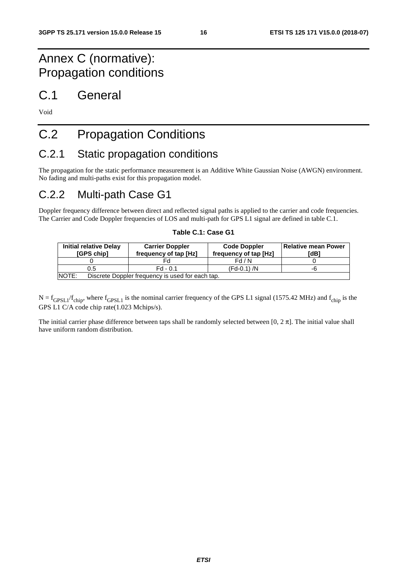## Annex C (normative): Propagation conditions

## C.1 General

Void

## C.2 Propagation Conditions

## C.2.1 Static propagation conditions

The propagation for the static performance measurement is an Additive White Gaussian Noise (AWGN) environment. No fading and multi-paths exist for this propagation model.

### C.2.2 Multi-path Case G1

Doppler frequency difference between direct and reflected signal paths is applied to the carrier and code frequencies. The Carrier and Code Doppler frequencies of LOS and multi-path for GPS L1 signal are defined in table C.1.

| <b>Initial relative Delay</b><br>[GPS chip] | <b>Carrier Doppler</b><br>frequency of tap [Hz]  | <b>Code Doppler</b><br>frequency of tap [Hz] | l Relative mean Power<br>[dB] |
|---------------------------------------------|--------------------------------------------------|----------------------------------------------|-------------------------------|
|                                             |                                                  | Fd/N                                         |                               |
| 0.5                                         | $Fd - 0.1$                                       | $(Fd-0.1) / N$                               | -6                            |
| NOTE:                                       | Discrete Doppler frequency is used for each tap. |                                              |                               |

#### **Table C.1: Case G1**

 $N = f_{GPSL1}/f_{chip}$ , where  $f_{GPSL1}$  is the nominal carrier frequency of the GPS L1 signal (1575.42 MHz) and  $f_{chip}$  is the GPS L1 C/A code chip rate(1.023 Mchips/s).

The initial carrier phase difference between taps shall be randomly selected between  $[0, 2\pi]$ . The initial value shall have uniform random distribution.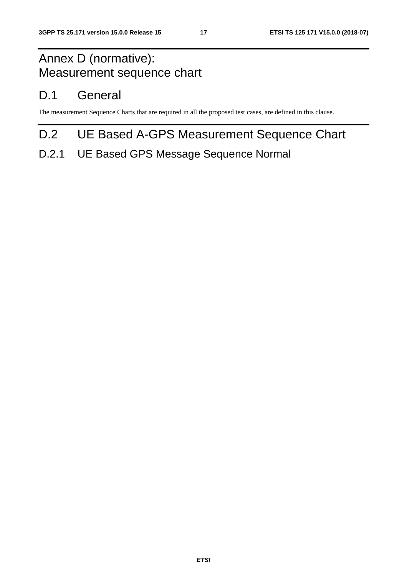## Annex D (normative): Measurement sequence chart

## D.1 General

The measurement Sequence Charts that are required in all the proposed test cases, are defined in this clause.

## D.2 UE Based A-GPS Measurement Sequence Chart

### D.2.1 UE Based GPS Message Sequence Normal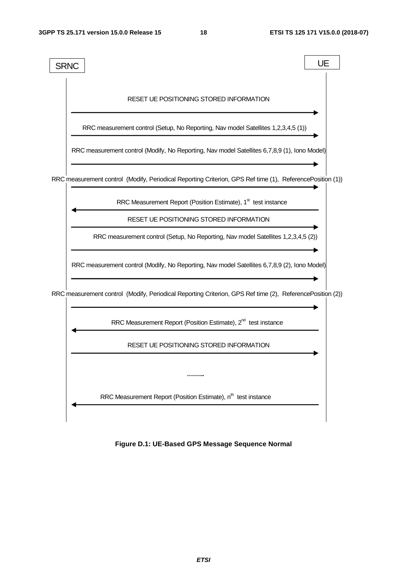

**Figure D.1: UE-Based GPS Message Sequence Normal**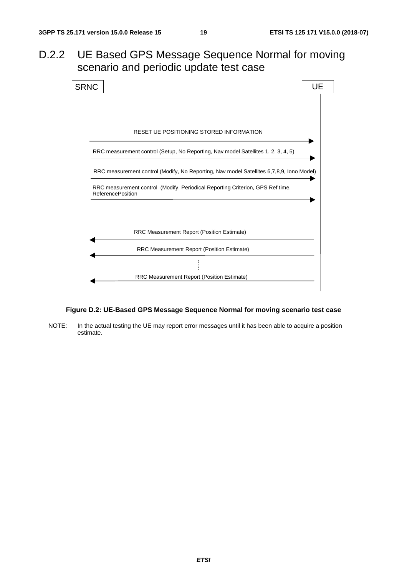### D.2.2 UE Based GPS Message Sequence Normal for moving scenario and periodic update test case



#### **Figure D.2: UE-Based GPS Message Sequence Normal for moving scenario test case**

NOTE: In the actual testing the UE may report error messages until it has been able to acquire a position estimate.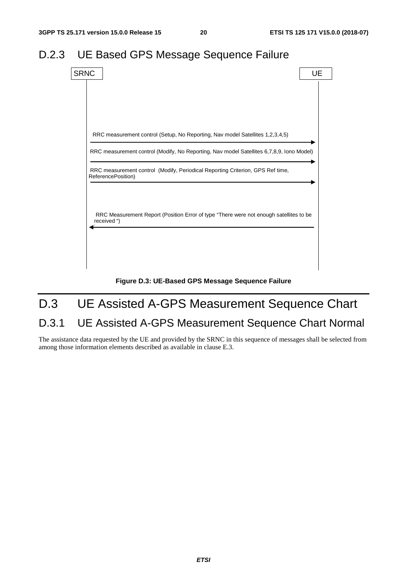## D.2.3 UE Based GPS Message Sequence Failure



**Figure D.3: UE-Based GPS Message Sequence Failure** 

## D.3 UE Assisted A-GPS Measurement Sequence Chart

## D.3.1 UE Assisted A-GPS Measurement Sequence Chart Normal

The assistance data requested by the UE and provided by the SRNC in this sequence of messages shall be selected from among those information elements described as available in clause E.3.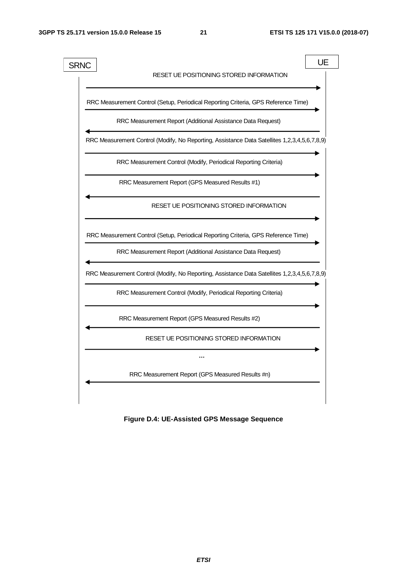

**Figure D.4: UE-Assisted GPS Message Sequence**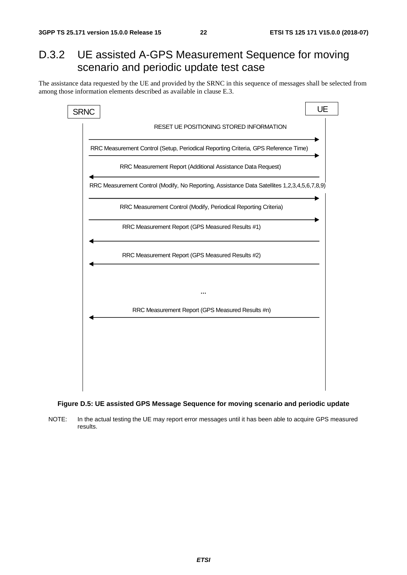## D.3.2 UE assisted A-GPS Measurement Sequence for moving scenario and periodic update test case

The assistance data requested by the UE and provided by the SRNC in this sequence of messages shall be selected from among those information elements described as available in clause E.3.



#### **Figure D.5: UE assisted GPS Message Sequence for moving scenario and periodic update**

NOTE: In the actual testing the UE may report error messages until it has been able to acquire GPS measured results.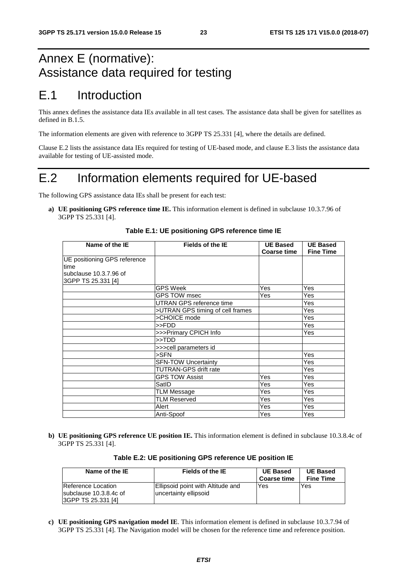## Annex E (normative): Assistance data required for testing

## E.1 Introduction

This annex defines the assistance data IEs available in all test cases. The assistance data shall be given for satellites as defined in B.1.5.

The information elements are given with reference to 3GPP TS 25.331 [4], where the details are defined.

Clause E.2 lists the assistance data IEs required for testing of UE-based mode, and clause E.3 lists the assistance data available for testing of UE-assisted mode.

## E.2 Information elements required for UE-based

The following GPS assistance data IEs shall be present for each test:

**a) UE positioning GPS reference time IE.** This information element is defined in subclause 10.3.7.96 of 3GPP TS 25.331 [4].

| Name of the IE                               | Fields of the IE                 | <b>UE Based</b><br><b>Coarse time</b> | <b>UE Based</b><br><b>Fine Time</b> |
|----------------------------------------------|----------------------------------|---------------------------------------|-------------------------------------|
| UE positioning GPS reference<br>time         |                                  |                                       |                                     |
| subclause 10.3.7.96 of<br>3GPP TS 25.331 [4] |                                  |                                       |                                     |
|                                              | GPS Week                         | Yes                                   | Yes                                 |
|                                              | GPS TOW msec                     | Yes                                   | Yes                                 |
|                                              | UTRAN GPS reference time         |                                       | Yes                                 |
|                                              | >UTRAN GPS timing of cell frames |                                       | Yes                                 |
|                                              | >CHOICE mode                     |                                       | <b>Yes</b>                          |
|                                              | >>FDD                            |                                       | <b>Yes</b>                          |
|                                              | >>>Primary CPICH Info            |                                       | <b>Yes</b>                          |
|                                              | >>TDD                            |                                       |                                     |
|                                              | >>>cell parameters id            |                                       |                                     |
|                                              | $>$ SFN                          |                                       | <b>Yes</b>                          |
|                                              | <b>SFN-TOW Uncertainty</b>       |                                       | Yes                                 |
|                                              | TUTRAN-GPS drift rate            |                                       | Yes                                 |
|                                              | <b>GPS TOW Assist</b>            | Yes                                   | Yes                                 |
|                                              | SatID                            | Yes                                   | Yes                                 |
|                                              | <b>TLM Message</b>               | Yes                                   | Yes                                 |
|                                              | <b>TLM Reserved</b>              | Yes                                   | <b>Yes</b>                          |
|                                              | Alert                            | Yes                                   | Yes                                 |
|                                              | Anti-Spoof                       | Yes                                   | <b>Yes</b>                          |

#### **Table E.1: UE positioning GPS reference time IE**

**b) UE positioning GPS reference UE position IE.** This information element is defined in subclause 10.3.8.4c of 3GPP TS 25.331 [4].

| Name of the IE                                                     | Fields of the IE                                           | <b>UE Based</b><br><b>Coarse time</b> | <b>UE Based</b><br><b>Fine Time</b> |
|--------------------------------------------------------------------|------------------------------------------------------------|---------------------------------------|-------------------------------------|
| Reference Location<br>subclause 10.3.8.4c of<br>3GPP TS 25.331 [4] | Ellipsoid point with Altitude and<br>uncertainty ellipsoid | Yes                                   | Yes                                 |

**c) UE positioning GPS navigation model IE**. This information element is defined in subclause 10.3.7.94 of 3GPP TS 25.331 [4]. The Navigation model will be chosen for the reference time and reference position.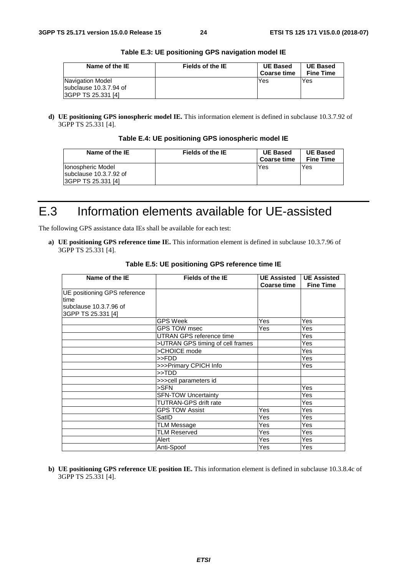| Name of the IE                                                          | Fields of the IE | <b>UE Based</b>    | <b>UE Based</b>  |
|-------------------------------------------------------------------------|------------------|--------------------|------------------|
|                                                                         |                  | <b>Coarse time</b> | <b>Fine Time</b> |
| Navigation Model<br>subclause 10.3.7.94 of<br><b>SGPP TS 25.331 [4]</b> |                  | Yes                | Yes              |

**Table E.3: UE positioning GPS navigation model IE** 

**d) UE positioning GPS ionospheric model IE.** This information element is defined in subclause 10.3.7.92 of 3GPP TS 25.331 [4].

|  |  |  | Table E.4: UE positioning GPS ionospheric model IE |
|--|--|--|----------------------------------------------------|
|--|--|--|----------------------------------------------------|

| Name of the IE                                                                   | Fields of the IE | <b>UE Based</b><br><b>Coarse time</b> | <b>UE Based</b><br><b>Fine Time</b> |
|----------------------------------------------------------------------------------|------------------|---------------------------------------|-------------------------------------|
| <b>Ilonospheric Model</b><br>subclause 10.3.7.92 of<br><b>3GPP TS 25.331 [4]</b> |                  | Yes                                   | Yes                                 |

## E.3 Information elements available for UE-assisted

The following GPS assistance data IEs shall be available for each test:

**a) UE positioning GPS reference time IE.** This information element is defined in subclause 10.3.7.96 of 3GPP TS 25.331 [4].

| Name of the IE               | Fields of the IE                 | <b>UE Assisted</b><br><b>Coarse time</b> | <b>UE Assisted</b><br><b>Fine Time</b> |  |
|------------------------------|----------------------------------|------------------------------------------|----------------------------------------|--|
| UE positioning GPS reference |                                  |                                          |                                        |  |
| time                         |                                  |                                          |                                        |  |
| subclause 10.3.7.96 of       |                                  |                                          |                                        |  |
| 3GPP TS 25.331 [4]           |                                  |                                          |                                        |  |
|                              | GPS Week                         | Yes                                      | Yes                                    |  |
|                              | GPS TOW msec                     | Yes                                      | Yes                                    |  |
|                              | UTRAN GPS reference time         |                                          | Yes                                    |  |
|                              | >UTRAN GPS timing of cell frames |                                          | Yes                                    |  |
|                              | >CHOICE mode                     |                                          | Yes                                    |  |
|                              | >>FDD                            |                                          | Yes                                    |  |
|                              | >>>Primary CPICH Info            |                                          | Yes                                    |  |
|                              | $>>$ TDD                         |                                          |                                        |  |
|                              | >>>cell parameters id            |                                          |                                        |  |
|                              | $>$ SFN                          |                                          | Yes                                    |  |
|                              | <b>SFN-TOW Uncertainty</b>       |                                          | Yes                                    |  |
|                              | TUTRAN-GPS drift rate            |                                          | Yes                                    |  |
|                              | <b>GPS TOW Assist</b>            | Yes                                      | Yes                                    |  |
|                              | SatID                            | Yes                                      | Yes                                    |  |
|                              | <b>TLM Message</b>               | Yes                                      | Yes                                    |  |
|                              | <b>TLM Reserved</b>              | Yes                                      | Yes                                    |  |
|                              | Alert                            | Yes                                      | Yes                                    |  |
|                              | Anti-Spoof                       | Yes                                      | Yes                                    |  |

**Table E.5: UE positioning GPS reference time IE** 

**b) UE positioning GPS reference UE position IE.** This information element is defined in subclause 10.3.8.4c of 3GPP TS 25.331 [4].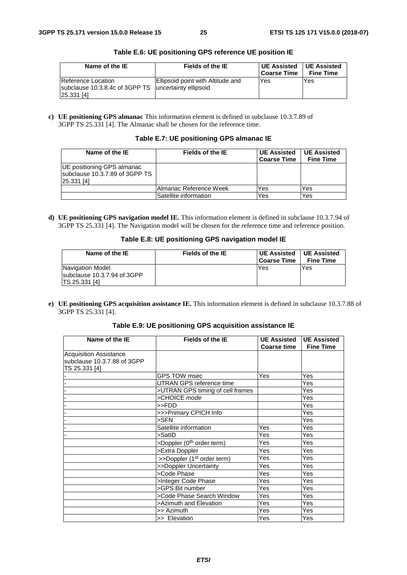| Name of the IE                                                                               | Fields of the IE                  | <b>UE Assisted</b> | UE Assisted      |
|----------------------------------------------------------------------------------------------|-----------------------------------|--------------------|------------------|
|                                                                                              |                                   | Coarse Time        | <b>Fine Time</b> |
| Reference Location<br>subclause 10.3.8.4c of 3GPP TS uncertainty ellipsoid<br>$[25.331]$ [4] | Ellipsoid point with Altitude and | Yes                | Yes              |

**Table E.6: UE positioning GPS reference UE position IE** 

**c) UE positioning GPS almanac** This information element is defined in subclause 10.3.7.89 of 3GPP TS 25.331 [4]. The Almanac shall be chosen for the reference time.

|  | Table E.7: UE positioning GPS almanac IE |  |
|--|------------------------------------------|--|
|--|------------------------------------------|--|

| Name of the IE                                                             | Fields of the IE        | <b>UE Assisted</b><br><b>Coarse Time</b> | <b>UE Assisted</b><br><b>Fine Time</b> |
|----------------------------------------------------------------------------|-------------------------|------------------------------------------|----------------------------------------|
| UE positioning GPS almanac<br>subclause 10.3.7.89 of 3GPP TS<br>25.331 [4] |                         |                                          |                                        |
|                                                                            | lAlmanac Reference Week | Yes                                      | Yes                                    |
|                                                                            | Satellite information   | Yes                                      | Yes                                    |

**d) UE positioning GPS navigation model IE.** This information element is defined in subclause 10.3.7.94 of 3GPP TS 25.331 [4]. The Navigation model will be chosen for the reference time and reference position.

|  |  | Table E.8: UE positioning GPS navigation model IE |  |
|--|--|---------------------------------------------------|--|
|--|--|---------------------------------------------------|--|

| Name of the IE                                                           | Fields of the IE | <b>UE Assisted</b><br>Coarse Time | UE Assisted<br><b>Fine Time</b> |
|--------------------------------------------------------------------------|------------------|-----------------------------------|---------------------------------|
| Navigation Model<br>subclause 10.3.7.94 of 3GPP<br><b>ITS 25.331 [4]</b> |                  | Yes                               | Yes                             |

**e) UE positioning GPS acquisition assistance IE.** This information element is defined in subclause 10.3.7.88 of 3GPP TS 25.331 [4].

**Table E.9: UE positioning GPS acquisition assistance IE** 

| Name of the IE              | <b>Fields of the IE</b>                | <b>UE Assisted</b> | <b>UE Assisted</b> |
|-----------------------------|----------------------------------------|--------------------|--------------------|
|                             |                                        | <b>Coarse time</b> | <b>Fine Time</b>   |
| Acquisition Assistance      |                                        |                    |                    |
| subclause 10.3.7.88 of 3GPP |                                        |                    |                    |
| TS 25.331 [4]               |                                        |                    |                    |
|                             | GPS TOW msec                           | Yes                | Yes                |
|                             | UTRAN GPS reference time               |                    | Yes                |
|                             | >UTRAN GPS timing of cell frames       |                    | Yes                |
|                             | >CHOICE mode                           |                    | Yes                |
|                             | >>FDD                                  |                    | Yes                |
|                             | >>>Primary CPICH Info                  |                    | Yes                |
|                             | $>$ SFN                                |                    | Yes                |
|                             | Satellite information                  | Yes                | Yes                |
|                             | >SatID                                 | Yes                | Yes                |
|                             | >Doppler (0 <sup>th</sup> order term)  | Yes                | Yes                |
|                             | >Extra Doppler                         | Yes                | Yes                |
|                             | >>Doppler (1 <sup>st</sup> order term) | Yes                | Yes                |
|                             | >>Doppler Uncertainty                  | Yes                | Yes                |
|                             | >Code Phase                            | Yes                | Yes                |
|                             | >Integer Code Phase                    | Yes                | Yes                |
|                             | >GPS Bit number                        | Yes                | Yes                |
|                             | >Code Phase Search Window              | Yes                | Yes                |
|                             | >Azimuth and Elevation                 | Yes                | Yes                |
|                             | >> Azimuth                             | Yes                | Yes                |
|                             | >> Elevation                           | Yes                | Yes                |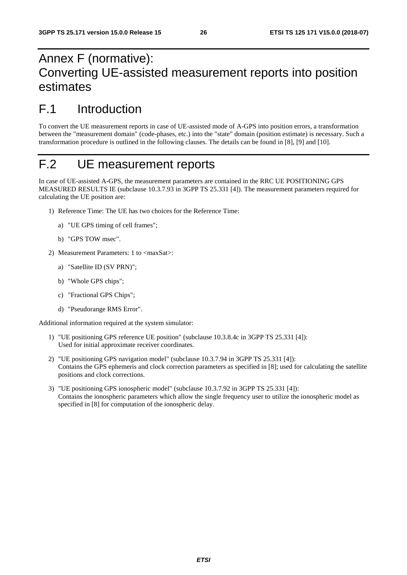## Annex F (normative): Converting UE-assisted measurement reports into position estimates

## F.1 Introduction

To convert the UE measurement reports in case of UE-assisted mode of A-GPS into position errors, a transformation between the "measurement domain" (code-phases, etc.) into the "state" domain (position estimate) is necessary. Such a transformation procedure is outlined in the following clauses. The details can be found in [8], [9] and [10].

## F.2 UE measurement reports

In case of UE-assisted A-GPS, the measurement parameters are contained in the RRC UE POSITIONING GPS MEASURED RESULTS IE (subclause 10.3.7.93 in 3GPP TS 25.331 [4]). The measurement parameters required for calculating the UE position are:

- 1) Reference Time: The UE has two choices for the Reference Time:
	- a) "UE GPS timing of cell frames";
	- b) "GPS TOW msec".
- 2) Measurement Parameters: 1 to <maxSat>:
	- a) "Satellite ID (SV PRN)";
	- b) "Whole GPS chips";
	- c) "Fractional GPS Chips";
	- d) "Pseudorange RMS Error".

Additional information required at the system simulator:

- 1) "UE positioning GPS reference UE position" (subclause 10.3.8.4c in 3GPP TS 25.331 [4]): Used for initial approximate receiver coordinates.
- 2) "UE positioning GPS navigation model" (subclause 10.3.7.94 in 3GPP TS 25.331 [4]): Contains the GPS ephemeris and clock correction parameters as specified in [8]; used for calculating the satellite positions and clock corrections.
- 3) "UE positioning GPS ionospheric model" (subclause 10.3.7.92 in 3GPP TS 25.331 [4]): Contains the ionospheric parameters which allow the single frequency user to utilize the ionospheric model as specified in [8] for computation of the ionospheric delay.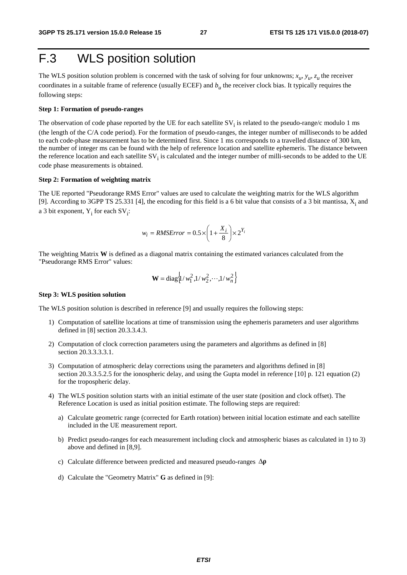## F.3 WLS position solution

The WLS position solution problem is concerned with the task of solving for four unknowns;  $x_u$ ,  $y_u$ ,  $z_u$ , the receiver coordinates in a suitable frame of reference (usually ECEF) and  $b<sub>u</sub>$  the receiver clock bias. It typically requires the following steps:

#### **Step 1: Formation of pseudo-ranges**

The observation of code phase reported by the UE for each satellite  $SV_i$  is related to the pseudo-range/c modulo 1 ms (the length of the C/A code period). For the formation of pseudo-ranges, the integer number of milliseconds to be added to each code-phase measurement has to be determined first. Since 1 ms corresponds to a travelled distance of 300 km, the number of integer ms can be found with the help of reference location and satellite ephemeris. The distance between the reference location and each satellite  $SV_i$  is calculated and the integer number of milli-seconds to be added to the UE code phase measurements is obtained.

#### **Step 2: Formation of weighting matrix**

The UE reported "Pseudorange RMS Error" values are used to calculate the weighting matrix for the WLS algorithm [9]. According to 3GPP TS 25.331 [4], the encoding for this field is a 6 bit value that consists of a 3 bit mantissa,  $X_i$  and a 3 bit exponent,  $Y_i$  for each  $SV_i$ :

$$
w_i = RMSETror = 0.5 \times \left(1 + \frac{X_i}{8}\right) \times 2^{Y_i}
$$

The weighting Matrix **W** is defined as a diagonal matrix containing the estimated variances calculated from the "Pseudorange RMS Error" values:

$$
\mathbf{W} = \text{diag}\left\{ \frac{1}{w_1^2}, \frac{1}{w_2^2}, \cdots, \frac{1}{w_n^2} \right\}
$$

#### **Step 3: WLS position solution**

The WLS position solution is described in reference [9] and usually requires the following steps:

- 1) Computation of satellite locations at time of transmission using the ephemeris parameters and user algorithms defined in [8] section 20.3.3.4.3.
- 2) Computation of clock correction parameters using the parameters and algorithms as defined in [8] section 20.3.3.3.3.1.
- 3) Computation of atmospheric delay corrections using the parameters and algorithms defined in [8] section 20.3.3.5.2.5 for the ionospheric delay, and using the Gupta model in reference [10] p. 121 equation (2) for the tropospheric delay.
- 4) The WLS position solution starts with an initial estimate of the user state (position and clock offset). The Reference Location is used as initial position estimate. The following steps are required:
	- a) Calculate geometric range (corrected for Earth rotation) between initial location estimate and each satellite included in the UE measurement report.
	- b) Predict pseudo-ranges for each measurement including clock and atmospheric biases as calculated in 1) to 3) above and defined in [8,9].
	- c) Calculate difference between predicted and measured pseudo-ranges Δ<sup>ρ</sup>
	- d) Calculate the "Geometry Matrix" **G** as defined in [9]: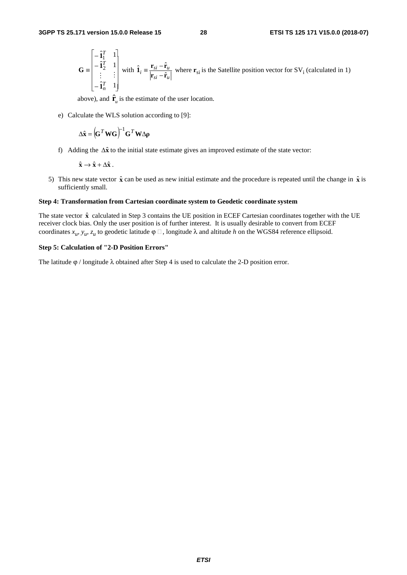$$
\mathbf{G} = \begin{bmatrix} -\hat{\mathbf{i}}_1^T & 1 \\ -\hat{\mathbf{i}}_2^T & 1 \\ \vdots & \vdots \\ -\hat{\mathbf{i}}_n^T & 1 \end{bmatrix} \text{ with } \hat{\mathbf{i}}_i = \frac{\mathbf{r}_{si} - \hat{\mathbf{r}}_u}{|\mathbf{r}_{si} - \hat{\mathbf{r}}_u|} \text{ where } \mathbf{r}_{si} \text{ is the Satellite position vector for } \text{SV}_i \text{ (calculated in 1)}
$$

above), and  $\hat{\mathbf{r}}_u$  is the estimate of the user location.

e) Calculate the WLS solution according to [9]:

$$
\Delta \hat{\mathbf{x}} = (\mathbf{G}^T \mathbf{W} \mathbf{G})^{-1} \mathbf{G}^T \mathbf{W} \Delta \rho
$$

f) Adding the Δ**x**ˆ to the initial state estimate gives an improved estimate of the state vector:

$$
\hat{\mathbf{x}} \to \hat{\mathbf{x}} + \Delta \hat{\mathbf{x}} \ .
$$

5) This new state vector  $\hat{\mathbf{x}}$  can be used as new initial estimate and the procedure is repeated until the change in  $\hat{\mathbf{x}}$  is sufficiently small.

#### **Step 4: Transformation from Cartesian coordinate system to Geodetic coordinate system**

The state vector  $\hat{x}$  calculated in Step 3 contains the UE position in ECEF Cartesian coordinates together with the UE receiver clock bias. Only the user position is of further interest. It is usually desirable to convert from ECEF coordinates  $x_u$ ,  $y_u$ ,  $z_u$  to geodetic latitude  $\varphi \Box$ , longitude  $\lambda$  and altitude *h* on the WGS84 reference ellipsoid.

#### **Step 5: Calculation of "2-D Position Errors"**

The latitude  $\varphi$  / longitude  $\lambda$  obtained after Step 4 is used to calculate the 2-D position error.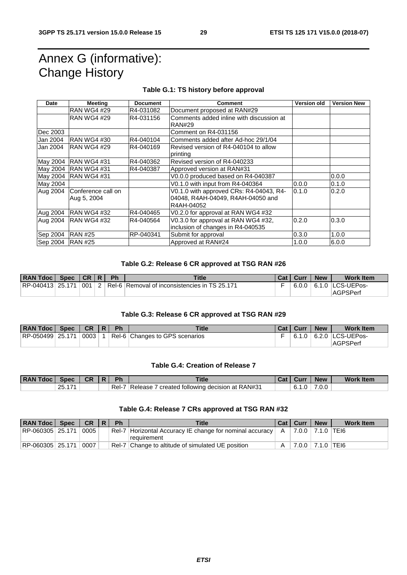## Annex G (informative): Change History

#### **Table G.1: TS history before approval**

| Date             | <b>Meeting</b>                    | <b>Document</b> | <b>Comment</b>                                                                             | <b>Version old</b> | <b>Version New</b> |
|------------------|-----------------------------------|-----------------|--------------------------------------------------------------------------------------------|--------------------|--------------------|
|                  | <b>RAN WG4 #29</b>                | R4-031082       | Document proposed at RAN#29                                                                |                    |                    |
|                  | <b>RAN WG4 #29</b>                | R4-031156       | Comments added inline with discussion at<br><b>RAN#29</b>                                  |                    |                    |
| Dec 2003         |                                   |                 | Comment on R4-031156                                                                       |                    |                    |
| Jan 2004         | IRAN WG4 #30                      | R4-040104       | Comments added after Ad-hoc 29/1/04                                                        |                    |                    |
| Jan 2004         | RAN WG4 #29                       | R4-040169       | Revised version of R4-040104 to allow<br>printing                                          |                    |                    |
|                  | May 2004   RAN WG4 #31            | R4-040362       | Revised version of R4-040233                                                               |                    |                    |
|                  | May 2004 RAN WG4 #31              | R4-040387       | Approved version at RAN#31                                                                 |                    |                    |
|                  | May 2004 RAN WG4 #31              |                 | V0.0.0 produced based on R4-040387                                                         |                    | 0.0.0              |
| May 2004         |                                   |                 | V0.1.0 with input from R4-040364                                                           | 0.0.0              | 0.1.0              |
| Aug 2004         | Conference call on<br>Aug 5, 2004 |                 | V0.1.0 with approved CRs: R4-04043, R4-<br>04048, R4AH-04049, R4AH-04050 and<br>R4AH-04052 | 0.1.0              | 0.2.0              |
|                  | Aug 2004 RAN WG4 #32              | R4-040465       | V0.2.0 for approval at RAN WG4 #32                                                         |                    |                    |
| Aug 2004         | IRAN WG4 #32                      | R4-040564       | V0.3.0 for approval at RAN WG4 #32,<br>inclusion of changes in R4-040535                   | 0.2.0              | 0.3.0              |
| Sep 2004         | <b>RAN #25</b>                    | RP-040341       | Submit for approval                                                                        | 0.3.0              | 1.0.0              |
| Sep 2004 RAN #25 |                                   |                 | Approved at RAN#24                                                                         | 1.0.0              | 6.0.0              |

#### **Table G.2: Release 6 CR approved at TSG RAN #26**

| RAN Tdoc   Spec  | CR R | Ph | <b>Title</b>                                                          | Cat   Curr | <b>New</b> | <b>Work Item</b>           |
|------------------|------|----|-----------------------------------------------------------------------|------------|------------|----------------------------|
| RP-040413 25.171 |      |    | $\vert 001 \vert$ 2   Rel-6   Removal of inconsistencies in TS 25.171 |            |            | $6.0.0$   6.1.0 LCS-UEPos- |
|                  |      |    |                                                                       |            |            | AGPSPerf                   |

#### **Table G.3: Release 6 CR approved at TSG RAN #29**

| <b>RAN Tdoc</b>   Spec | <b>CR</b> | <b>Ph</b> | <b>Title</b>                   | Cat   Curr | <b>New</b> | <b>Work Item</b>                |
|------------------------|-----------|-----------|--------------------------------|------------|------------|---------------------------------|
| RP-050499 25.171       | 0003      |           | Rel-6 Changes to GPS scenarios |            |            | $6.1.0$ $\mid$ 6.2.0 LCS-UEPos- |
|                        |           |           |                                |            |            | AGPSPerf                        |

#### **Table G.4: Creation of Release 7**

| <b>RAN Tdo</b><br>l doc |                              | CR | Ph    | Title                                                | ual | Curı | <b>New</b> | <b>Work Item</b> |
|-------------------------|------------------------------|----|-------|------------------------------------------------------|-----|------|------------|------------------|
|                         | $\rightarrow$<br>つに<br>ا ، ت |    | Rel-7 | d following decision at RAN#31<br>Release<br>created |     | б.   | 7.0.0      |                  |

#### **Table G.4: Release 7 CRs approved at TSG RAN #32**

| RAN Tdoc   Spec  | <b>CR</b> | <b>Ph</b> | <b>Title</b>                                                                |              | Cat   Curr                       | <b>New</b> | <b>Work Item</b> |
|------------------|-----------|-----------|-----------------------------------------------------------------------------|--------------|----------------------------------|------------|------------------|
| RP-060305 25.171 | 0005      |           | Rel-7   Horizontal Accuracy IE change for nominal accuracy  <br>requirement | $\mathsf{A}$ | <sup>∣</sup> 7.0.0 ∣ 7.1.0 ∣TEI6 |            |                  |
| RP-060305 25.171 | 0007      |           | Rel-7 Change to altitude of simulated UE position                           |              | 7.0.0 7.1.0 TEI6                 |            |                  |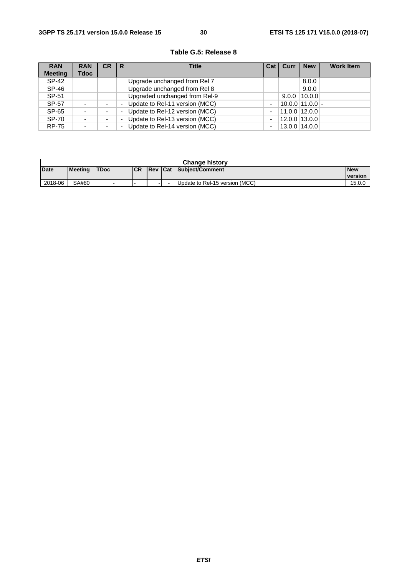| <b>RAN</b>     | <b>RAN</b> | CR                       | R | <b>Title</b>                   | Cat | Curr | <b>New</b>            | <b>Work Item</b> |
|----------------|------------|--------------------------|---|--------------------------------|-----|------|-----------------------|------------------|
| <b>Meeting</b> | Tdoc       |                          |   |                                |     |      |                       |                  |
| SP-42          |            |                          |   | Upgrade unchanged from Rel 7   |     |      | 8.0.0                 |                  |
| SP-46          |            |                          |   | Upgrade unchanged from Rel 8   |     |      | 9.0.0                 |                  |
| SP-51          |            |                          |   | Upgraded unchanged from Rel-9  |     |      | $9.0.0$   10.0.0      |                  |
| SP-57          | ٠          | $\overline{\phantom{0}}$ |   | Update to Rel-11 version (MCC) | ٠   |      | $10.0.0$   11.0.0   - |                  |
| SP-65          | ۰          | ٠                        |   | Update to Rel-12 version (MCC) | -   |      | $11.0.0$   12.0.0     |                  |
| <b>SP-70</b>   | ٠          | $\overline{\phantom{0}}$ |   | Update to Rel-13 version (MCC) | ٠   |      | 12.0.0 13.0.0         |                  |
| <b>RP-75</b>   | ٠          | ۰                        |   | Update to Rel-14 version (MCC) | ٠   |      | $13.0.0$   14.0.0     |                  |

#### **Table G.5: Release 8**

| <b>Change history</b> |         |       |           |                |                          |                                |                |  |  |
|-----------------------|---------|-------|-----------|----------------|--------------------------|--------------------------------|----------------|--|--|
| <b>Date</b>           | Meeting | 'TDoc | <b>CR</b> | <b>Rev Cat</b> |                          | Subject/Comment                | <b>New</b>     |  |  |
|                       |         |       |           |                |                          |                                | <b>version</b> |  |  |
| 2018-06               | SA#80   | -     |           |                | $\overline{\phantom{0}}$ | Update to Rel-15 version (MCC) | 15.0.0         |  |  |